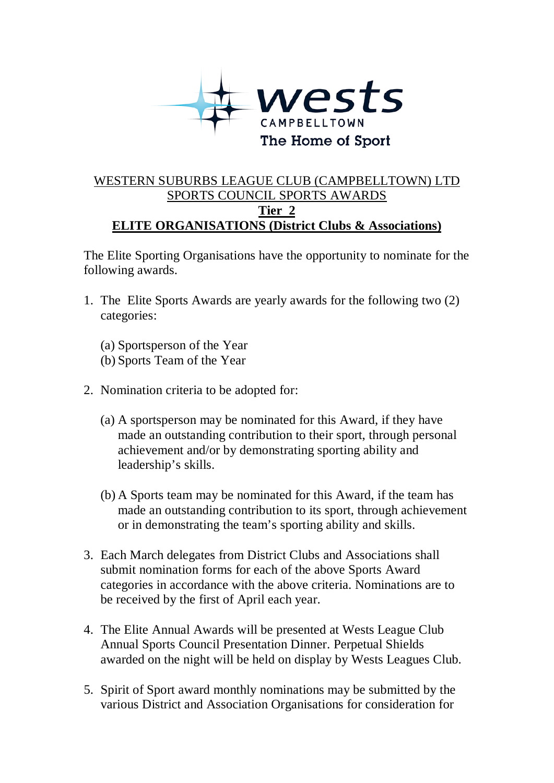

## WESTERN SUBURBS LEAGUE CLUB (CAMPBELLTOWN) LTD SPORTS COUNCIL SPORTS AWARDS **Tier 2 ELITE ORGANISATIONS (District Clubs & Associations)**

The Elite Sporting Organisations have the opportunity to nominate for the following awards.

- 1. The Elite Sports Awards are yearly awards for the following two (2) categories:
	- (a) Sportsperson of the Year
	- (b) Sports Team of the Year
- 2. Nomination criteria to be adopted for:
	- (a) A sportsperson may be nominated for this Award, if they have made an outstanding contribution to their sport, through personal achievement and/or by demonstrating sporting ability and leadership's skills.
	- (b) A Sports team may be nominated for this Award, if the team has made an outstanding contribution to its sport, through achievement or in demonstrating the team's sporting ability and skills.
- 3. Each March delegates from District Clubs and Associations shall submit nomination forms for each of the above Sports Award categories in accordance with the above criteria. Nominations are to be received by the first of April each year.
- 4. The Elite Annual Awards will be presented at Wests League Club Annual Sports Council Presentation Dinner. Perpetual Shields awarded on the night will be held on display by Wests Leagues Club.
- 5. Spirit of Sport award monthly nominations may be submitted by the various District and Association Organisations for consideration for